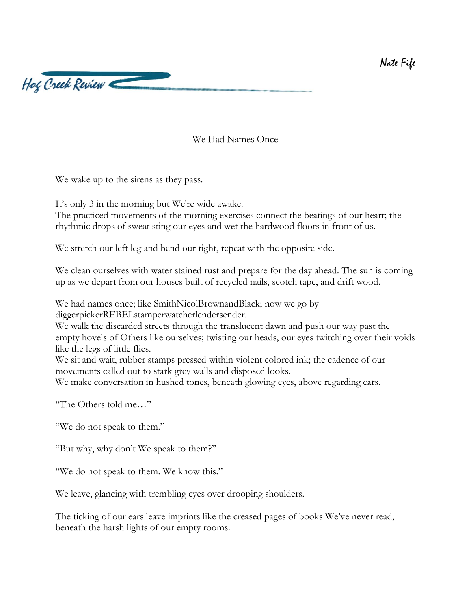

We Had Names Once

We wake up to the sirens as they pass.

It's only 3 in the morning but We're wide awake.

The practiced movements of the morning exercises connect the beatings of our heart; the rhythmic drops of sweat sting our eyes and wet the hardwood floors in front of us.

We stretch our left leg and bend our right, repeat with the opposite side.

We clean ourselves with water stained rust and prepare for the day ahead. The sun is coming up as we depart from our houses built of recycled nails, scotch tape, and drift wood.

We had names once; like SmithNicolBrownandBlack; now we go by diggerpickerREBELstamperwatcherlendersender.

We walk the discarded streets through the translucent dawn and push our way past the empty hovels of Others like ourselves; twisting our heads, our eyes twitching over their voids like the legs of little flies.

We sit and wait, rubber stamps pressed within violent colored ink; the cadence of our movements called out to stark grey walls and disposed looks.

We make conversation in hushed tones, beneath glowing eyes, above regarding ears.

"The Others told me…"

"We do not speak to them."

"But why, why don't We speak to them?"

"We do not speak to them. We know this."

We leave, glancing with trembling eyes over drooping shoulders.

The ticking of our ears leave imprints like the creased pages of books We've never read, beneath the harsh lights of our empty rooms.